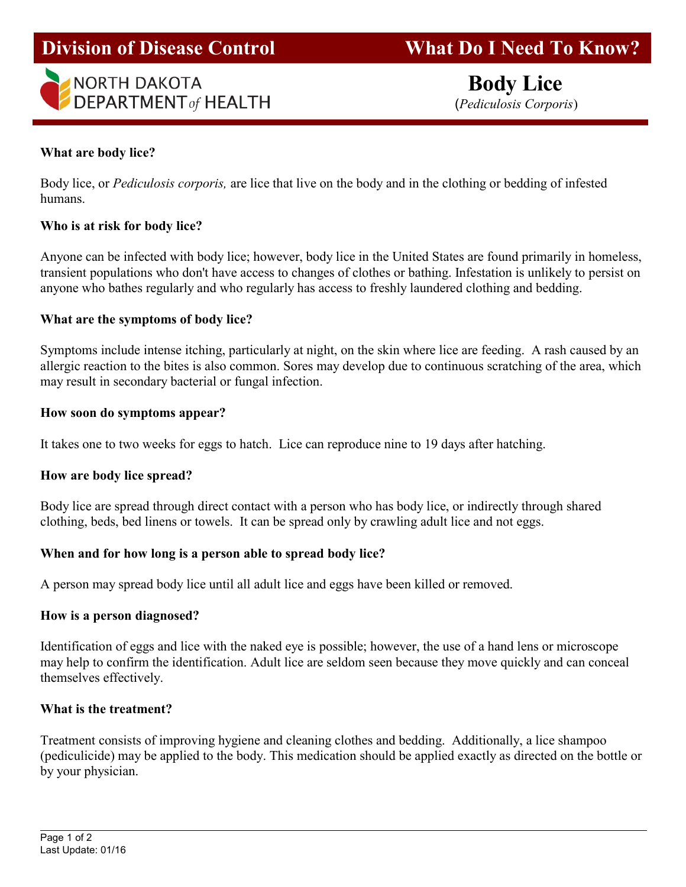#### I Division of Disease Control What Do I Need To Know?



# What are body lice?

Body lice, or Pediculosis corporis, are lice that live on the body and in the clothing or bedding of infested humans.

## Who is at risk for body lice?

Anyone can be infected with body lice; however, body lice in the United States are found primarily in homeless, transient populations who don't have access to changes of clothes or bathing. Infestation is unlikely to persist on anyone who bathes regularly and who regularly has access to freshly laundered clothing and bedding.

## What are the symptoms of body lice?

Symptoms include intense itching, particularly at night, on the skin where lice are feeding. A rash caused by an allergic reaction to the bites is also common. Sores may develop due to continuous scratching of the area, which may result in secondary bacterial or fungal infection.

### How soon do symptoms appear?

It takes one to two weeks for eggs to hatch. Lice can reproduce nine to 19 days after hatching.

## How are body lice spread?

Body lice are spread through direct contact with a person who has body lice, or indirectly through shared clothing, beds, bed linens or towels. It can be spread only by crawling adult lice and not eggs.

## When and for how long is a person able to spread body lice?

A person may spread body lice until all adult lice and eggs have been killed or removed.

### How is a person diagnosed?

Identification of eggs and lice with the naked eye is possible; however, the use of a hand lens or microscope may help to confirm the identification. Adult lice are seldom seen because they move quickly and can conceal themselves effectively.

## What is the treatment?

Treatment consists of improving hygiene and cleaning clothes and bedding. Additionally, a lice shampoo (pediculicide) may be applied to the body. This medication should be applied exactly as directed on the bottle or by your physician.